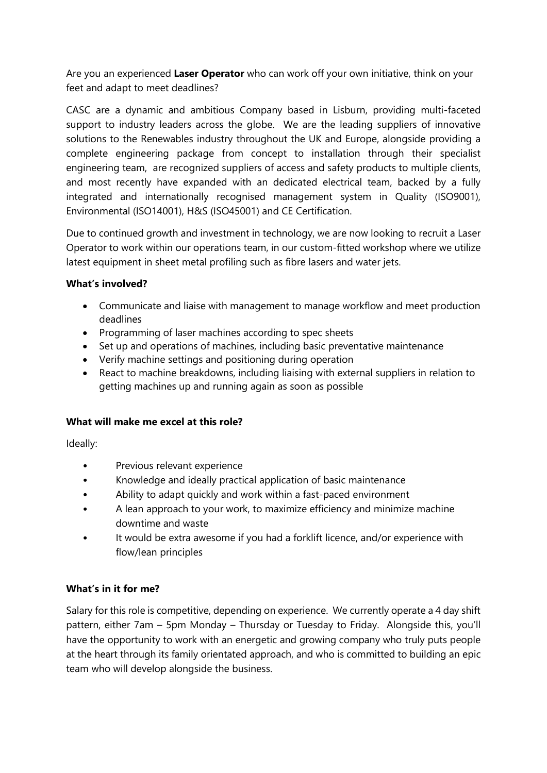Are you an experienced **Laser Operator** who can work off your own initiative, think on your feet and adapt to meet deadlines?

CASC are a dynamic and ambitious Company based in Lisburn, providing multi-faceted support to industry leaders across the globe. We are the leading suppliers of innovative solutions to the Renewables industry throughout the UK and Europe, alongside providing a complete engineering package from concept to installation through their specialist engineering team, are recognized suppliers of access and safety products to multiple clients, and most recently have expanded with an dedicated electrical team, backed by a fully integrated and internationally recognised management system in Quality (ISO9001), Environmental (ISO14001), H&S (ISO45001) and CE Certification.

Due to continued growth and investment in technology, we are now looking to recruit a Laser Operator to work within our operations team, in our custom-fitted workshop where we utilize latest equipment in sheet metal profiling such as fibre lasers and water jets.

## **What's involved?**

- Communicate and liaise with management to manage workflow and meet production deadlines
- Programming of laser machines according to spec sheets
- Set up and operations of machines, including basic preventative maintenance
- Verify machine settings and positioning during operation
- React to machine breakdowns, including liaising with external suppliers in relation to getting machines up and running again as soon as possible

## **What will make me excel at this role?**

Ideally:

- Previous relevant experience
- Knowledge and ideally practical application of basic maintenance
- Ability to adapt quickly and work within a fast-paced environment
- A lean approach to your work, to maximize efficiency and minimize machine downtime and waste
- It would be extra awesome if you had a forklift licence, and/or experience with flow/lean principles

## **What's in it for me?**

Salary for this role is competitive, depending on experience. We currently operate a 4 day shift pattern, either 7am – 5pm Monday – Thursday or Tuesday to Friday. Alongside this, you'll have the opportunity to work with an energetic and growing company who truly puts people at the heart through its family orientated approach, and who is committed to building an epic team who will develop alongside the business.